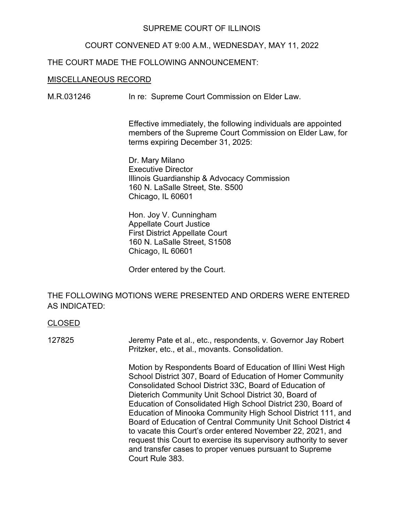## SUPREME COURT OF ILLINOIS

### COURT CONVENED AT 9:00 A.M., WEDNESDAY, MAY 11, 2022

## THE COURT MADE THE FOLLOWING ANNOUNCEMENT:

#### MISCELLANEOUS RECORD

M.R.031246 In re: Supreme Court Commission on Elder Law.

Effective immediately, the following individuals are appointed members of the Supreme Court Commission on Elder Law, for terms expiring December 31, 2025:

Dr. Mary Milano Executive Director Illinois Guardianship & Advocacy Commission 160 N. LaSalle Street, Ste. S500 Chicago, IL 60601

Hon. Joy V. Cunningham Appellate Court Justice First District Appellate Court 160 N. LaSalle Street, S1508 Chicago, IL 60601

Order entered by the Court.

# THE FOLLOWING MOTIONS WERE PRESENTED AND ORDERS WERE ENTERED AS INDICATED:

#### CLOSED

127825 Jeremy Pate et al., etc., respondents, v. Governor Jay Robert Pritzker, etc., et al., movants. Consolidation.

> Motion by Respondents Board of Education of Illini West High School District 307, Board of Education of Homer Community Consolidated School District 33C, Board of Education of Dieterich Community Unit School District 30, Board of Education of Consolidated High School District 230, Board of Education of Minooka Community High School District 111, and Board of Education of Central Community Unit School District 4 to vacate this Court's order entered November 22, 2021, and request this Court to exercise its supervisory authority to sever and transfer cases to proper venues pursuant to Supreme Court Rule 383.